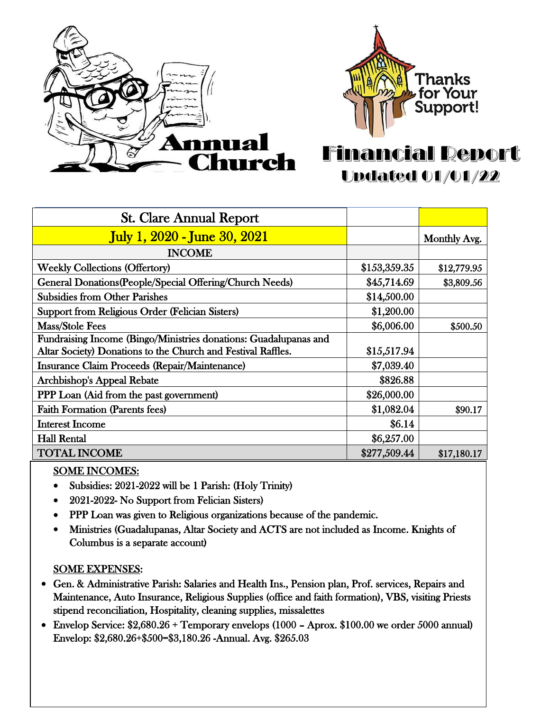



## **Financial Report Updated 01/01/22**

| <b>St. Clare Annual Report</b>                                   |              |              |
|------------------------------------------------------------------|--------------|--------------|
| <b>July 1, 2020 - June 30, 2021</b>                              |              | Monthly Avg. |
| <b>INCOME</b>                                                    |              |              |
| <b>Weekly Collections (Offertory)</b>                            | \$153,359.35 | \$12,779.95  |
| General Donations (People/Special Offering/Church Needs)         | \$45,714.69  | \$3,809.56   |
| <b>Subsidies from Other Parishes</b>                             | \$14,500.00  |              |
| <b>Support from Religious Order (Felician Sisters)</b>           | \$1,200.00   |              |
| Mass/Stole Fees                                                  | \$6,006.00   | \$500.50     |
| Fundraising Income (Bingo/Ministries donations: Guadalupanas and |              |              |
| Altar Society) Donations to the Church and Festival Raffles.     | \$15,517.94  |              |
| <b>Insurance Claim Proceeds (Repair/Maintenance)</b>             | \$7,039.40   |              |
| <b>Archbishop's Appeal Rebate</b>                                | \$826.88     |              |
| <b>PPP Loan (Aid from the past government)</b>                   | \$26,000.00  |              |
| <b>Faith Formation (Parents fees)</b>                            | \$1,082.04   | \$90.17      |
| <b>Interest Income</b>                                           | \$6.14       |              |
| <b>Hall Rental</b>                                               | \$6,257.00   |              |
| <b>TOTAL INCOME</b>                                              | \$277,509.44 | \$17,180.17  |

## SOME INCOMES:

- Subsidies: 2021-2022 will be 1 Parish: (Holy Trinity)
- 2021-2022- No Support from Felician Sisters)
- PPP Loan was given to Religious organizations because of the pandemic.
- Ministries (Guadalupanas, Altar Society and ACTS are not included as Income. Knights of Columbus is a separate account)

## SOME EXPENSES:

- Gen. & Administrative Parish: Salaries and Health Ins., Pension plan, Prof. services, Repairs and Maintenance, Auto Insurance, Religious Supplies (office and faith formation), VBS, visiting Priests stipend reconciliation, Hospitality, cleaning supplies, missalettes
- Envelop Service: \$2,680.26 + Temporary envelops (1000 Aprox. \$100.00 we order 5000 annual) Envelop: \$2,680.26+\$500=\$3,180.26 -Annual. Avg. \$265.03